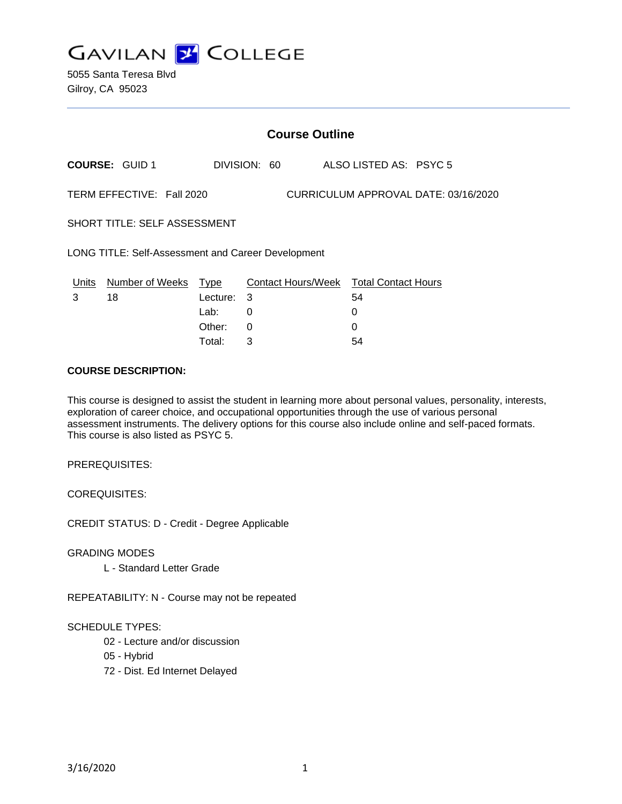

|                                                                   |                       |                  |              | <b>Course Outline</b> |                                              |  |  |
|-------------------------------------------------------------------|-----------------------|------------------|--------------|-----------------------|----------------------------------------------|--|--|
|                                                                   | <b>COURSE: GUID 1</b> |                  | DIVISION: 60 |                       | ALSO LISTED AS: PSYC 5                       |  |  |
| TERM EFFECTIVE: Fall 2020<br>CURRICULUM APPROVAL DATE: 03/16/2020 |                       |                  |              |                       |                                              |  |  |
| <b>SHORT TITLE: SELF ASSESSMENT</b>                               |                       |                  |              |                       |                                              |  |  |
| LONG TITLE: Self-Assessment and Career Development                |                       |                  |              |                       |                                              |  |  |
| Units<br>3                                                        | Number of Weeks<br>18 | Type<br>Lecture: | 3            |                       | Contact Hours/Week Total Contact Hours<br>54 |  |  |
|                                                                   |                       | Lab:             | 0            |                       | 0                                            |  |  |
|                                                                   |                       | Other:           | 0            |                       |                                              |  |  |

Total: 3 54

### **COURSE DESCRIPTION:**

This course is designed to assist the student in learning more about personal values, personality, interests, exploration of career choice, and occupational opportunities through the use of various personal assessment instruments. The delivery options for this course also include online and self-paced formats. This course is also listed as PSYC 5.

PREREQUISITES:

COREQUISITES:

CREDIT STATUS: D - Credit - Degree Applicable

GRADING MODES

L - Standard Letter Grade

REPEATABILITY: N - Course may not be repeated

#### SCHEDULE TYPES:

- 02 Lecture and/or discussion
- 05 Hybrid
- 72 Dist. Ed Internet Delayed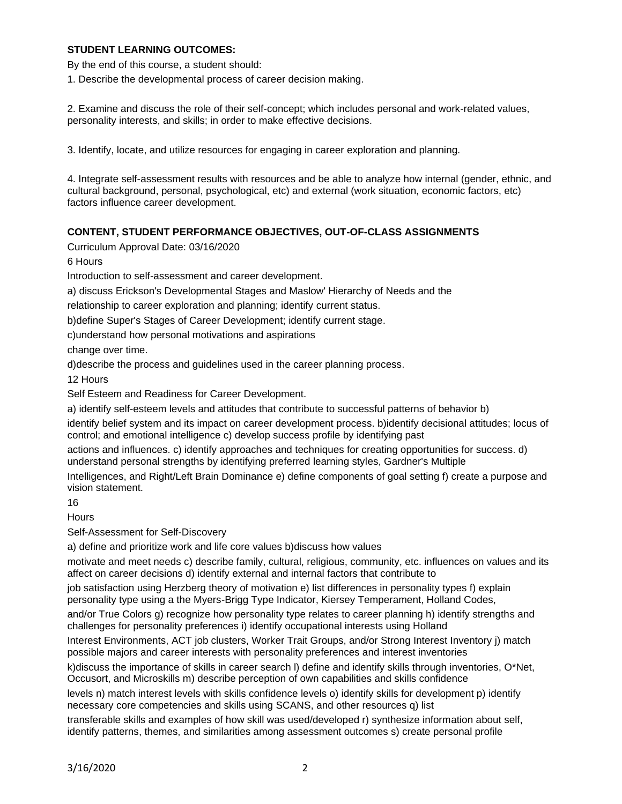### **STUDENT LEARNING OUTCOMES:**

By the end of this course, a student should:

1. Describe the developmental process of career decision making.

2. Examine and discuss the role of their self-concept; which includes personal and work-related values, personality interests, and skills; in order to make effective decisions.

3. Identify, locate, and utilize resources for engaging in career exploration and planning.

4. Integrate self-assessment results with resources and be able to analyze how internal (gender, ethnic, and cultural background, personal, psychological, etc) and external (work situation, economic factors, etc) factors influence career development.

# **CONTENT, STUDENT PERFORMANCE OBJECTIVES, OUT-OF-CLASS ASSIGNMENTS**

Curriculum Approval Date: 03/16/2020

6 Hours

Introduction to self-assessment and career development.

a) discuss Erickson's Developmental Stages and Maslow' Hierarchy of Needs and the

relationship to career exploration and planning; identify current status.

b)define Super's Stages of Career Development; identify current stage.

c)understand how personal motivations and aspirations

change over time.

d)describe the process and guidelines used in the career planning process.

12 Hours

Self Esteem and Readiness for Career Development.

a) identify self-esteem levels and attitudes that contribute to successful patterns of behavior b)

identify belief system and its impact on career development process. b)identify decisional attitudes; locus of control; and emotional intelligence c) develop success profile by identifying past

actions and influences. c) identify approaches and techniques for creating opportunities for success. d) understand personal strengths by identifying preferred learning styles, Gardner's Multiple

Intelligences, and Right/Left Brain Dominance e) define components of goal setting f) create a purpose and vision statement.

16

**Hours** 

Self-Assessment for Self-Discovery

a) define and prioritize work and life core values b)discuss how values

motivate and meet needs c) describe family, cultural, religious, community, etc. influences on values and its affect on career decisions d) identify external and internal factors that contribute to

job satisfaction using Herzberg theory of motivation e) list differences in personality types f) explain personality type using a the Myers-Brigg Type Indicator, Kiersey Temperament, Holland Codes,

and/or True Colors g) recognize how personality type relates to career planning h) identify strengths and challenges for personality preferences i) identify occupational interests using Holland

Interest Environments, ACT job clusters, Worker Trait Groups, and/or Strong Interest Inventory j) match possible majors and career interests with personality preferences and interest inventories

k)discuss the importance of skills in career search l) define and identify skills through inventories, O\*Net, Occusort, and Microskills m) describe perception of own capabilities and skills confidence

levels n) match interest levels with skills confidence levels o) identify skills for development p) identify necessary core competencies and skills using SCANS, and other resources q) list

transferable skills and examples of how skill was used/developed r) synthesize information about self, identify patterns, themes, and similarities among assessment outcomes s) create personal profile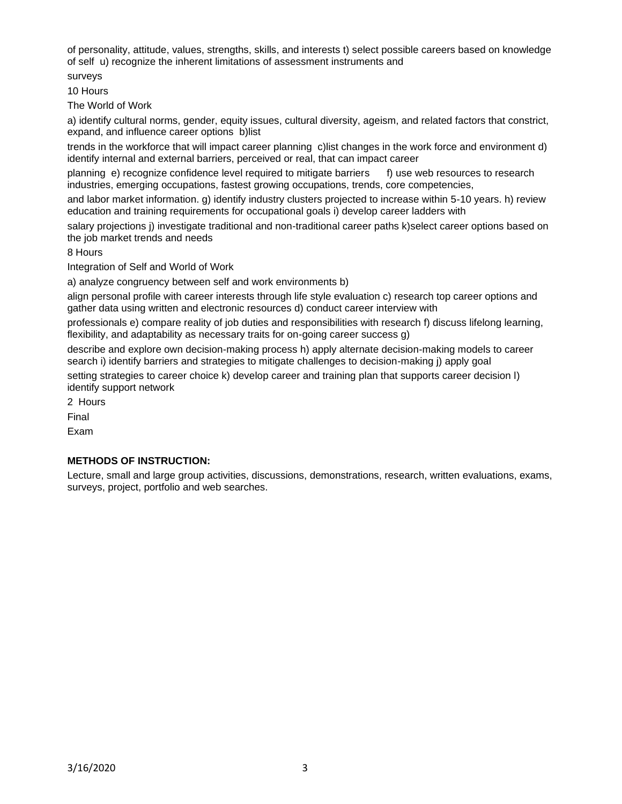of personality, attitude, values, strengths, skills, and interests t) select possible careers based on knowledge of self u) recognize the inherent limitations of assessment instruments and

surveys

10 Hours

The World of Work

a) identify cultural norms, gender, equity issues, cultural diversity, ageism, and related factors that constrict, expand, and influence career options b)list

trends in the workforce that will impact career planning c)list changes in the work force and environment d) identify internal and external barriers, perceived or real, that can impact career

planning e) recognize confidence level required to mitigate barriers f) use web resources to research industries, emerging occupations, fastest growing occupations, trends, core competencies,

and labor market information. g) identify industry clusters projected to increase within 5-10 years. h) review education and training requirements for occupational goals i) develop career ladders with

salary projections j) investigate traditional and non-traditional career paths k)select career options based on the job market trends and needs

8 Hours

Integration of Self and World of Work

a) analyze congruency between self and work environments b)

align personal profile with career interests through life style evaluation c) research top career options and gather data using written and electronic resources d) conduct career interview with

professionals e) compare reality of job duties and responsibilities with research f) discuss lifelong learning, flexibility, and adaptability as necessary traits for on-going career success g)

describe and explore own decision-making process h) apply alternate decision-making models to career search i) identify barriers and strategies to mitigate challenges to decision-making j) apply goal

setting strategies to career choice k) develop career and training plan that supports career decision l) identify support network

2 Hours Final

Exam

### **METHODS OF INSTRUCTION:**

Lecture, small and large group activities, discussions, demonstrations, research, written evaluations, exams, surveys, project, portfolio and web searches.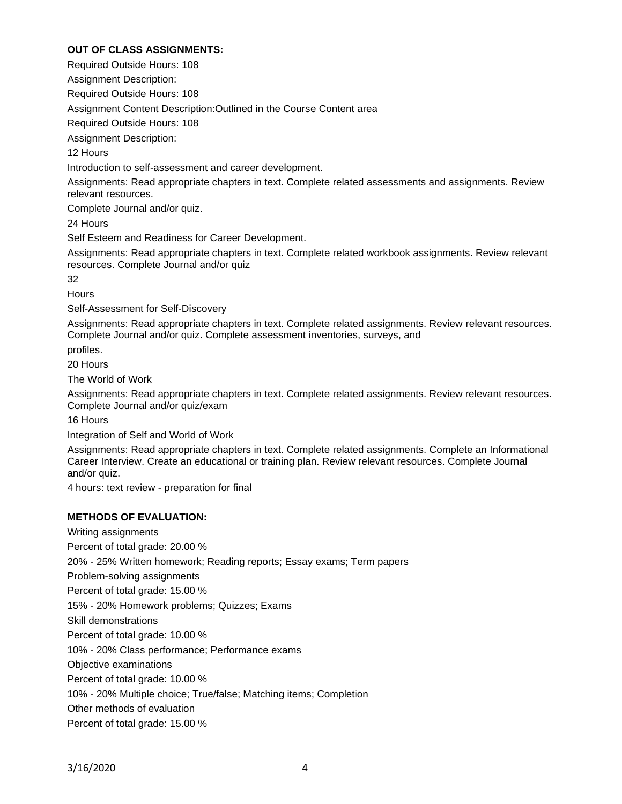# **OUT OF CLASS ASSIGNMENTS:**

Required Outside Hours: 108

Assignment Description:

Required Outside Hours: 108

Assignment Content Description:Outlined in the Course Content area

Required Outside Hours: 108

Assignment Description:

12 Hours

Introduction to self-assessment and career development.

Assignments: Read appropriate chapters in text. Complete related assessments and assignments. Review relevant resources.

Complete Journal and/or quiz.

24 Hours

Self Esteem and Readiness for Career Development.

Assignments: Read appropriate chapters in text. Complete related workbook assignments. Review relevant resources. Complete Journal and/or quiz

32

**Hours** 

Self-Assessment for Self-Discovery

Assignments: Read appropriate chapters in text. Complete related assignments. Review relevant resources. Complete Journal and/or quiz. Complete assessment inventories, surveys, and

profiles.

20 Hours

The World of Work

Assignments: Read appropriate chapters in text. Complete related assignments. Review relevant resources. Complete Journal and/or quiz/exam

16 Hours

Integration of Self and World of Work

Assignments: Read appropriate chapters in text. Complete related assignments. Complete an Informational Career Interview. Create an educational or training plan. Review relevant resources. Complete Journal and/or quiz.

4 hours: text review - preparation for final

# **METHODS OF EVALUATION:**

Writing assignments

Percent of total grade: 20.00 %

20% - 25% Written homework; Reading reports; Essay exams; Term papers

Problem-solving assignments

Percent of total grade: 15.00 %

15% - 20% Homework problems; Quizzes; Exams

Skill demonstrations

Percent of total grade: 10.00 %

10% - 20% Class performance; Performance exams

Objective examinations

Percent of total grade: 10.00 %

10% - 20% Multiple choice; True/false; Matching items; Completion

Other methods of evaluation

Percent of total grade: 15.00 %